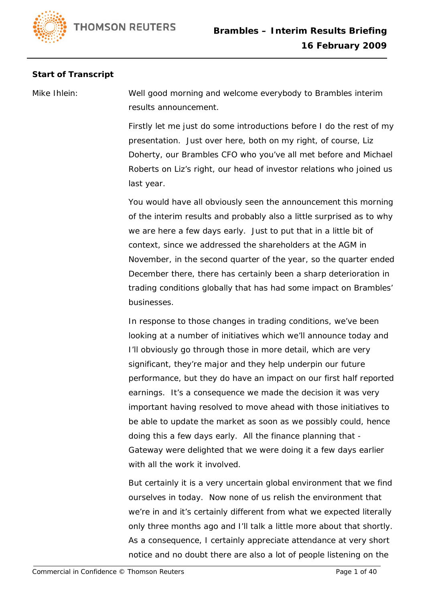## **Start of Transcript**

Mike Ihlein: Well good morning and welcome everybody to Brambles interim results announcement.

> Firstly let me just do some introductions before I do the rest of my presentation. Just over here, both on my right, of course, Liz Doherty, our Brambles CFO who you've all met before and Michael Roberts on Liz's right, our head of investor relations who joined us last year.

> You would have all obviously seen the announcement this morning of the interim results and probably also a little surprised as to why we are here a few days early. Just to put that in a little bit of context, since we addressed the shareholders at the AGM in November, in the second quarter of the year, so the quarter ended December there, there has certainly been a sharp deterioration in trading conditions globally that has had some impact on Brambles' businesses.

> In response to those changes in trading conditions, we've been looking at a number of initiatives which we'll announce today and I'll obviously go through those in more detail, which are very significant, they're major and they help underpin our future performance, but they do have an impact on our first half reported earnings. It's a consequence we made the decision it was very important having resolved to move ahead with those initiatives to be able to update the market as soon as we possibly could, hence doing this a few days early. All the finance planning that - Gateway were delighted that we were doing it a few days earlier with all the work it involved.

> But certainly it is a very uncertain global environment that we find ourselves in today. Now none of us relish the environment that we're in and it's certainly different from what we expected literally only three months ago and I'll talk a little more about that shortly. As a consequence, I certainly appreciate attendance at very short notice and no doubt there are also a lot of people listening on the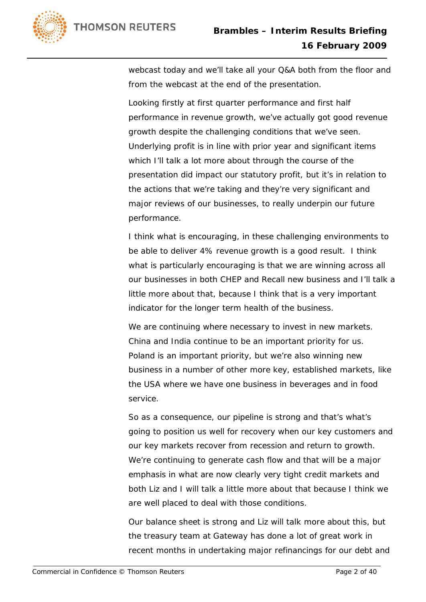

webcast today and we'll take all your Q&A both from the floor and from the webcast at the end of the presentation.

Looking firstly at first quarter performance and first half performance in revenue growth, we've actually got good revenue growth despite the challenging conditions that we've seen. Underlying profit is in line with prior year and significant items which I'll talk a lot more about through the course of the presentation did impact our statutory profit, but it's in relation to the actions that we're taking and they're very significant and major reviews of our businesses, to really underpin our future performance.

I think what is encouraging, in these challenging environments to be able to deliver 4% revenue growth is a good result. I think what is particularly encouraging is that we are winning across all our businesses in both CHEP and Recall new business and I'll talk a little more about that, because I think that is a very important indicator for the longer term health of the business.

We are continuing where necessary to invest in new markets. China and India continue to be an important priority for us. Poland is an important priority, but we're also winning new business in a number of other more key, established markets, like the USA where we have one business in beverages and in food service.

So as a consequence, our pipeline is strong and that's what's going to position us well for recovery when our key customers and our key markets recover from recession and return to growth. We're continuing to generate cash flow and that will be a major emphasis in what are now clearly very tight credit markets and both Liz and I will talk a little more about that because I think we are well placed to deal with those conditions.

Our balance sheet is strong and Liz will talk more about this, but the treasury team at Gateway has done a lot of great work in recent months in undertaking major refinancings for our debt and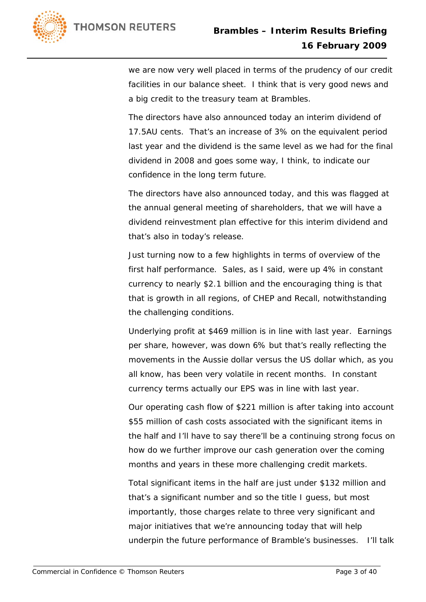

we are now very well placed in terms of the prudency of our credit facilities in our balance sheet. I think that is very good news and a big credit to the treasury team at Brambles.

The directors have also announced today an interim dividend of 17.5AU cents. That's an increase of 3% on the equivalent period last year and the dividend is the same level as we had for the final dividend in 2008 and goes some way, I think, to indicate our confidence in the long term future.

The directors have also announced today, and this was flagged at the annual general meeting of shareholders, that we will have a dividend reinvestment plan effective for this interim dividend and that's also in today's release.

Just turning now to a few highlights in terms of overview of the first half performance. Sales, as I said, were up 4% in constant currency to nearly \$2.1 billion and the encouraging thing is that that is growth in all regions, of CHEP and Recall, notwithstanding the challenging conditions.

Underlying profit at \$469 million is in line with last year. Earnings per share, however, was down 6% but that's really reflecting the movements in the Aussie dollar versus the US dollar which, as you all know, has been very volatile in recent months. In constant currency terms actually our EPS was in line with last year.

Our operating cash flow of \$221 million is after taking into account \$55 million of cash costs associated with the significant items in the half and I'll have to say there'll be a continuing strong focus on how do we further improve our cash generation over the coming months and years in these more challenging credit markets.

Total significant items in the half are just under \$132 million and that's a significant number and so the title I guess, but most importantly, those charges relate to three very significant and major initiatives that we're announcing today that will help underpin the future performance of Bramble's businesses. I'll talk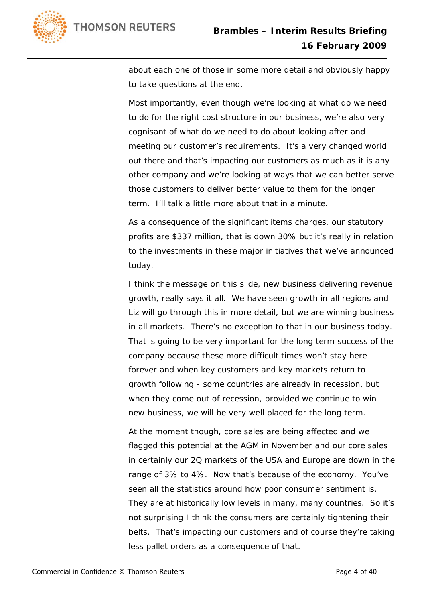

about each one of those in some more detail and obviously happy to take questions at the end.

Most importantly, even though we're looking at what do we need to do for the right cost structure in our business, we're also very cognisant of what do we need to do about looking after and meeting our customer's requirements. It's a very changed world out there and that's impacting our customers as much as it is any other company and we're looking at ways that we can better serve those customers to deliver better value to them for the longer term. I'll talk a little more about that in a minute.

As a consequence of the significant items charges, our statutory profits are \$337 million, that is down 30% but it's really in relation to the investments in these major initiatives that we've announced today.

I think the message on this slide, new business delivering revenue growth, really says it all. We have seen growth in all regions and Liz will go through this in more detail, but we are winning business in all markets. There's no exception to that in our business today. That is going to be very important for the long term success of the company because these more difficult times won't stay here forever and when key customers and key markets return to growth following - some countries are already in recession, but when they come out of recession, provided we continue to win new business, we will be very well placed for the long term.

At the moment though, core sales are being affected and we flagged this potential at the AGM in November and our core sales in certainly our 2Q markets of the USA and Europe are down in the range of 3% to 4%. Now that's because of the economy. You've seen all the statistics around how poor consumer sentiment is. They are at historically low levels in many, many countries. So it's not surprising I think the consumers are certainly tightening their belts. That's impacting our customers and of course they're taking less pallet orders as a consequence of that.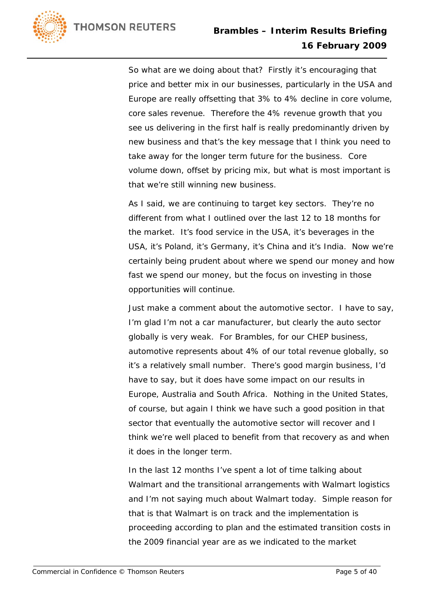

So what are we doing about that? Firstly it's encouraging that price and better mix in our businesses, particularly in the USA and Europe are really offsetting that 3% to 4% decline in core volume, core sales revenue. Therefore the 4% revenue growth that you see us delivering in the first half is really predominantly driven by new business and that's the key message that I think you need to take away for the longer term future for the business. Core volume down, offset by pricing mix, but what is most important is that we're still winning new business.

As I said, we are continuing to target key sectors. They're no different from what I outlined over the last 12 to 18 months for the market. It's food service in the USA, it's beverages in the USA, it's Poland, it's Germany, it's China and it's India. Now we're certainly being prudent about where we spend our money and how fast we spend our money, but the focus on investing in those opportunities will continue.

Just make a comment about the automotive sector. I have to say, I'm glad I'm not a car manufacturer, but clearly the auto sector globally is very weak. For Brambles, for our CHEP business, automotive represents about 4% of our total revenue globally, so it's a relatively small number. There's good margin business, I'd have to say, but it does have some impact on our results in Europe, Australia and South Africa. Nothing in the United States, of course, but again I think we have such a good position in that sector that eventually the automotive sector will recover and I think we're well placed to benefit from that recovery as and when it does in the longer term.

In the last 12 months I've spent a lot of time talking about Walmart and the transitional arrangements with Walmart logistics and I'm not saying much about Walmart today. Simple reason for that is that Walmart is on track and the implementation is proceeding according to plan and the estimated transition costs in the 2009 financial year are as we indicated to the market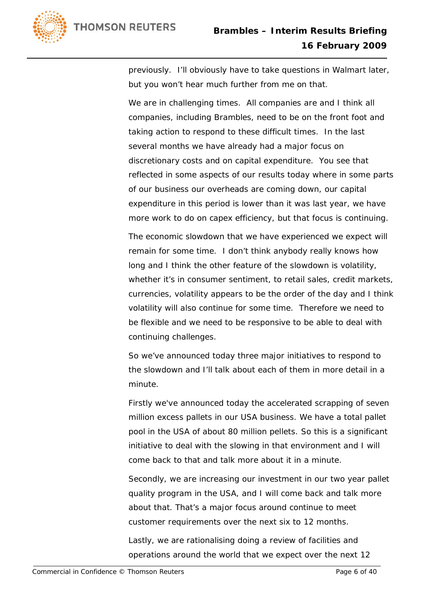

previously. I'll obviously have to take questions in Walmart later, but you won't hear much further from me on that.

We are in challenging times. All companies are and I think all companies, including Brambles, need to be on the front foot and taking action to respond to these difficult times. In the last several months we have already had a major focus on discretionary costs and on capital expenditure. You see that reflected in some aspects of our results today where in some parts of our business our overheads are coming down, our capital expenditure in this period is lower than it was last year, we have more work to do on capex efficiency, but that focus is continuing.

The economic slowdown that we have experienced we expect will remain for some time. I don't think anybody really knows how long and I think the other feature of the slowdown is volatility, whether it's in consumer sentiment, to retail sales, credit markets, currencies, volatility appears to be the order of the day and I think volatility will also continue for some time. Therefore we need to be flexible and we need to be responsive to be able to deal with continuing challenges.

So we've announced today three major initiatives to respond to the slowdown and I'll talk about each of them in more detail in a minute.

Firstly we've announced today the accelerated scrapping of seven million excess pallets in our USA business. We have a total pallet pool in the USA of about 80 million pellets. So this is a significant initiative to deal with the slowing in that environment and I will come back to that and talk more about it in a minute.

Secondly, we are increasing our investment in our two year pallet quality program in the USA, and I will come back and talk more about that. That's a major focus around continue to meet customer requirements over the next six to 12 months.

Lastly, we are rationalising doing a review of facilities and operations around the world that we expect over the next 12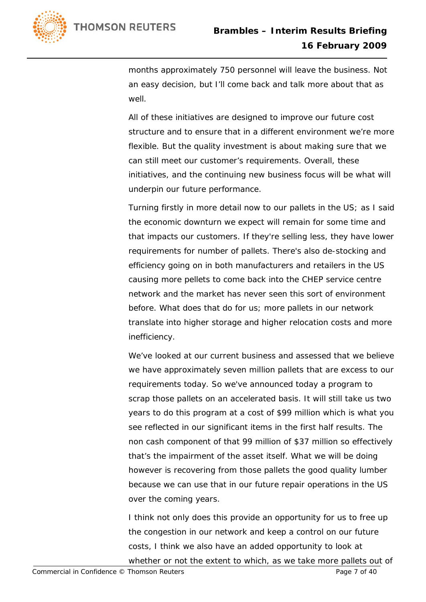

months approximately 750 personnel will leave the business. Not an easy decision, but I'll come back and talk more about that as well.

All of these initiatives are designed to improve our future cost structure and to ensure that in a different environment we're more flexible. But the quality investment is about making sure that we can still meet our customer's requirements. Overall, these initiatives, and the continuing new business focus will be what will underpin our future performance.

Turning firstly in more detail now to our pallets in the US; as I said the economic downturn we expect will remain for some time and that impacts our customers. If they're selling less, they have lower requirements for number of pallets. There's also de-stocking and efficiency going on in both manufacturers and retailers in the US causing more pellets to come back into the CHEP service centre network and the market has never seen this sort of environment before. What does that do for us; more pallets in our network translate into higher storage and higher relocation costs and more inefficiency.

We've looked at our current business and assessed that we believe we have approximately seven million pallets that are excess to our requirements today. So we've announced today a program to scrap those pallets on an accelerated basis. It will still take us two years to do this program at a cost of \$99 million which is what you see reflected in our significant items in the first half results. The non cash component of that 99 million of \$37 million so effectively that's the impairment of the asset itself. What we will be doing however is recovering from those pallets the good quality lumber because we can use that in our future repair operations in the US over the coming years.

I think not only does this provide an opportunity for us to free up the congestion in our network and keep a control on our future costs, I think we also have an added opportunity to look at whether or not the extent to which, as we take more pallets out of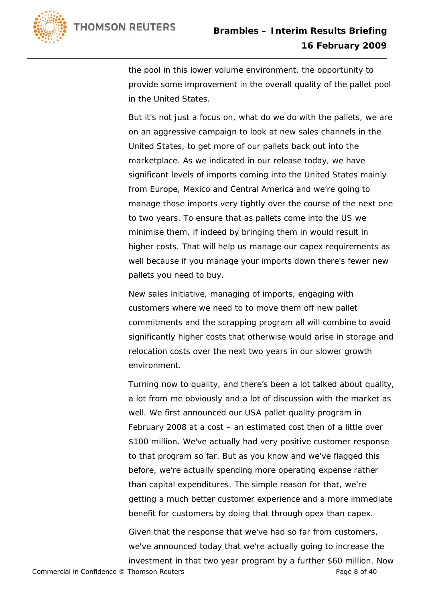

the pool in this lower volume environment, the opportunity to provide some improvement in the overall quality of the pallet pool in the United States.

But it's not just a focus on, what do we do with the pallets, we are on an aggressive campaign to look at new sales channels in the United States, to get more of our pallets back out into the marketplace. As we indicated in our release today, we have significant levels of imports coming into the United States mainly from Europe, Mexico and Central America and we're going to manage those imports very tightly over the course of the next one to two years. To ensure that as pallets come into the US we minimise them, if indeed by bringing them in would result in higher costs. That will help us manage our capex requirements as well because if you manage your imports down there's fewer new pallets you need to buy.

New sales initiative, managing of imports, engaging with customers where we need to to move them off new pallet commitments and the scrapping program all will combine to avoid significantly higher costs that otherwise would arise in storage and relocation costs over the next two years in our slower growth environment.

Turning now to quality, and there's been a lot talked about quality, a lot from me obviously and a lot of discussion with the market as well. We first announced our USA pallet quality program in February 2008 at a cost – an estimated cost then of a little over \$100 million. We've actually had very positive customer response to that program so far. But as you know and we've flagged this before, we're actually spending more operating expense rather than capital expenditures. The simple reason for that, we're getting a much better customer experience and a more immediate benefit for customers by doing that through opex than capex. Given that the response that we've had so far from customers, we've announced today that we're actually going to increase the investment in that two year program by a further \$60 million. Now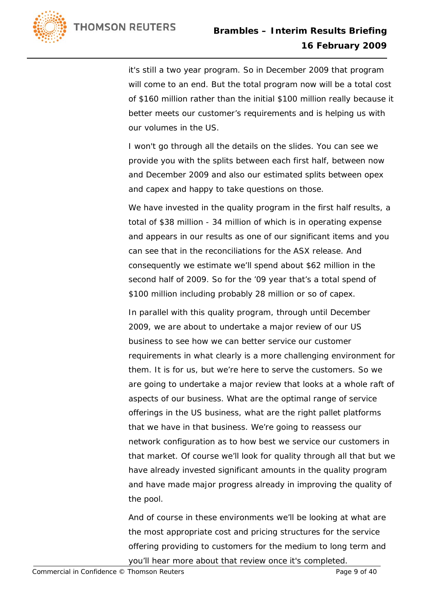

it's still a two year program. So in December 2009 that program will come to an end. But the total program now will be a total cost of \$160 million rather than the initial \$100 million really because it better meets our customer's requirements and is helping us with our volumes in the US.

I won't go through all the details on the slides. You can see we provide you with the splits between each first half, between now and December 2009 and also our estimated splits between opex and capex and happy to take questions on those.

We have invested in the quality program in the first half results, a total of \$38 million - 34 million of which is in operating expense and appears in our results as one of our significant items and you can see that in the reconciliations for the ASX release. And consequently we estimate we'll spend about \$62 million in the second half of 2009. So for the '09 year that's a total spend of \$100 million including probably 28 million or so of capex.

In parallel with this quality program, through until December 2009, we are about to undertake a major review of our US business to see how we can better service our customer requirements in what clearly is a more challenging environment for them. It is for us, but we're here to serve the customers. So we are going to undertake a major review that looks at a whole raft of aspects of our business. What are the optimal range of service offerings in the US business, what are the right pallet platforms that we have in that business. We're going to reassess our network configuration as to how best we service our customers in that market. Of course we'll look for quality through all that but we have already invested significant amounts in the quality program and have made major progress already in improving the quality of the pool.

And of course in these environments we'll be looking at what are the most appropriate cost and pricing structures for the service offering providing to customers for the medium to long term and you'll hear more about that review once it's completed.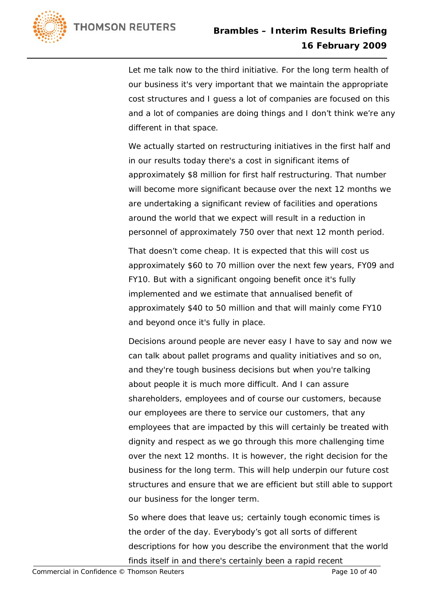

Let me talk now to the third initiative. For the long term health of our business it's very important that we maintain the appropriate cost structures and I guess a lot of companies are focused on this and a lot of companies are doing things and I don't think we're any different in that space.

We actually started on restructuring initiatives in the first half and in our results today there's a cost in significant items of approximately \$8 million for first half restructuring. That number will become more significant because over the next 12 months we are undertaking a significant review of facilities and operations around the world that we expect will result in a reduction in personnel of approximately 750 over that next 12 month period.

That doesn't come cheap. It is expected that this will cost us approximately \$60 to 70 million over the next few years, FY09 and FY10. But with a significant ongoing benefit once it's fully implemented and we estimate that annualised benefit of approximately \$40 to 50 million and that will mainly come FY10 and beyond once it's fully in place.

Decisions around people are never easy I have to say and now we can talk about pallet programs and quality initiatives and so on, and they're tough business decisions but when you're talking about people it is much more difficult. And I can assure shareholders, employees and of course our customers, because our employees are there to service our customers, that any employees that are impacted by this will certainly be treated with dignity and respect as we go through this more challenging time over the next 12 months. It is however, the right decision for the business for the long term. This will help underpin our future cost structures and ensure that we are efficient but still able to support our business for the longer term.

So where does that leave us; certainly tough economic times is the order of the day. Everybody's got all sorts of different descriptions for how you describe the environment that the world finds itself in and there's certainly been a rapid recent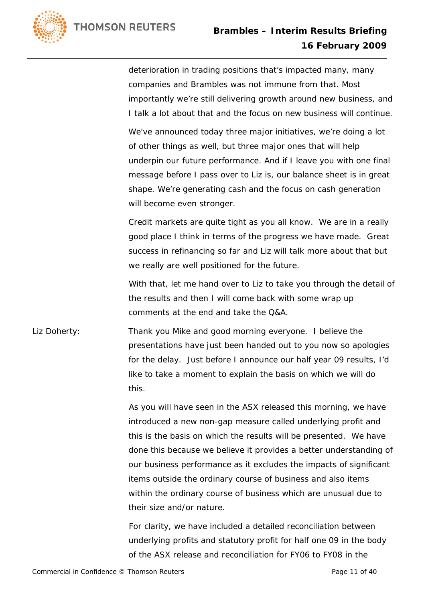

deterioration in trading positions that's impacted many, many companies and Brambles was not immune from that. Most importantly we're still delivering growth around new business, and I talk a lot about that and the focus on new business will continue.

We've announced today three major initiatives, we're doing a lot of other things as well, but three major ones that will help underpin our future performance. And if I leave you with one final message before I pass over to Liz is, our balance sheet is in great shape. We're generating cash and the focus on cash generation will become even stronger.

Credit markets are quite tight as you all know. We are in a really good place I think in terms of the progress we have made. Great success in refinancing so far and Liz will talk more about that but we really are well positioned for the future.

With that, let me hand over to Liz to take you through the detail of the results and then I will come back with some wrap up comments at the end and take the Q&A.

Liz Doherty: Thank you Mike and good morning everyone. I believe the presentations have just been handed out to you now so apologies for the delay. Just before I announce our half year 09 results, I'd like to take a moment to explain the basis on which we will do this.

> As you will have seen in the ASX released this morning, we have introduced a new non-gap measure called underlying profit and this is the basis on which the results will be presented. We have done this because we believe it provides a better understanding of our business performance as it excludes the impacts of significant items outside the ordinary course of business and also items within the ordinary course of business which are unusual due to their size and/or nature.

For clarity, we have included a detailed reconciliation between underlying profits and statutory profit for half one 09 in the body of the ASX release and reconciliation for FY06 to FY08 in the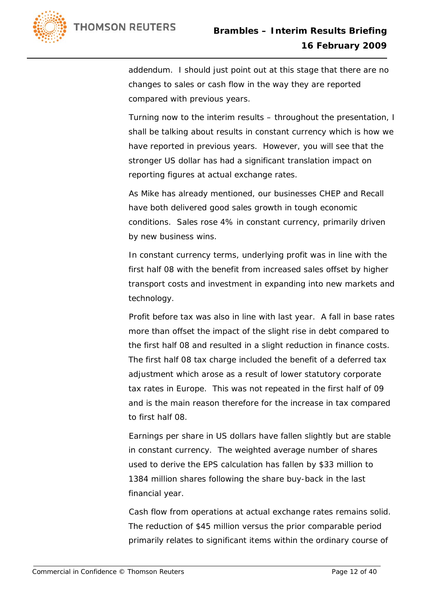

addendum. I should just point out at this stage that there are no changes to sales or cash flow in the way they are reported compared with previous years.

Turning now to the interim results – throughout the presentation, I shall be talking about results in constant currency which is how we have reported in previous years. However, you will see that the stronger US dollar has had a significant translation impact on reporting figures at actual exchange rates.

As Mike has already mentioned, our businesses CHEP and Recall have both delivered good sales growth in tough economic conditions. Sales rose 4% in constant currency, primarily driven by new business wins.

In constant currency terms, underlying profit was in line with the first half 08 with the benefit from increased sales offset by higher transport costs and investment in expanding into new markets and technology.

Profit before tax was also in line with last year. A fall in base rates more than offset the impact of the slight rise in debt compared to the first half 08 and resulted in a slight reduction in finance costs. The first half 08 tax charge included the benefit of a deferred tax adjustment which arose as a result of lower statutory corporate tax rates in Europe. This was not repeated in the first half of 09 and is the main reason therefore for the increase in tax compared to first half 08.

Earnings per share in US dollars have fallen slightly but are stable in constant currency. The weighted average number of shares used to derive the EPS calculation has fallen by \$33 million to 1384 million shares following the share buy-back in the last financial year.

Cash flow from operations at actual exchange rates remains solid. The reduction of \$45 million versus the prior comparable period primarily relates to significant items within the ordinary course of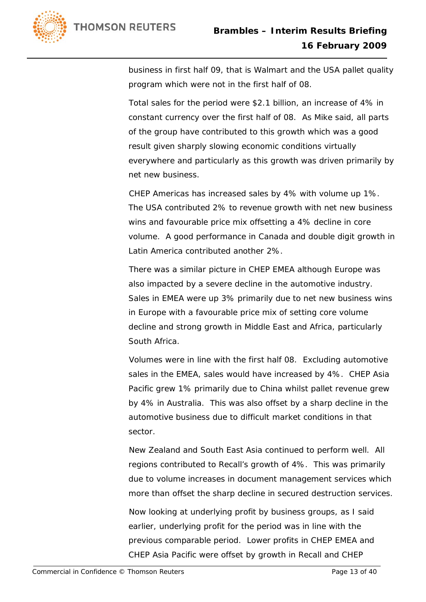

business in first half 09, that is Walmart and the USA pallet quality program which were not in the first half of 08.

Total sales for the period were \$2.1 billion, an increase of 4% in constant currency over the first half of 08. As Mike said, all parts of the group have contributed to this growth which was a good result given sharply slowing economic conditions virtually everywhere and particularly as this growth was driven primarily by net new business.

CHEP Americas has increased sales by 4% with volume up 1%. The USA contributed 2% to revenue growth with net new business wins and favourable price mix offsetting a 4% decline in core volume. A good performance in Canada and double digit growth in Latin America contributed another 2%.

There was a similar picture in CHEP EMEA although Europe was also impacted by a severe decline in the automotive industry. Sales in EMEA were up 3% primarily due to net new business wins in Europe with a favourable price mix of setting core volume decline and strong growth in Middle East and Africa, particularly South Africa.

Volumes were in line with the first half 08. Excluding automotive sales in the EMEA, sales would have increased by 4%. CHEP Asia Pacific grew 1% primarily due to China whilst pallet revenue grew by 4% in Australia. This was also offset by a sharp decline in the automotive business due to difficult market conditions in that sector.

New Zealand and South East Asia continued to perform well. All regions contributed to Recall's growth of 4%. This was primarily due to volume increases in document management services which more than offset the sharp decline in secured destruction services.

Now looking at underlying profit by business groups, as I said earlier, underlying profit for the period was in line with the previous comparable period. Lower profits in CHEP EMEA and CHEP Asia Pacific were offset by growth in Recall and CHEP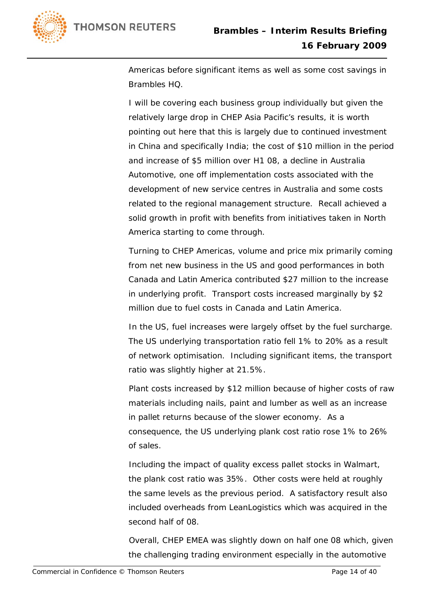

Americas before significant items as well as some cost savings in Brambles HQ.

I will be covering each business group individually but given the relatively large drop in CHEP Asia Pacific's results, it is worth pointing out here that this is largely due to continued investment in China and specifically India; the cost of \$10 million in the period and increase of \$5 million over H1 08, a decline in Australia Automotive, one off implementation costs associated with the development of new service centres in Australia and some costs related to the regional management structure. Recall achieved a solid growth in profit with benefits from initiatives taken in North America starting to come through.

Turning to CHEP Americas, volume and price mix primarily coming from net new business in the US and good performances in both Canada and Latin America contributed \$27 million to the increase in underlying profit. Transport costs increased marginally by \$2 million due to fuel costs in Canada and Latin America.

In the US, fuel increases were largely offset by the fuel surcharge. The US underlying transportation ratio fell 1% to 20% as a result of network optimisation. Including significant items, the transport ratio was slightly higher at 21.5%.

Plant costs increased by \$12 million because of higher costs of raw materials including nails, paint and lumber as well as an increase in pallet returns because of the slower economy. As a consequence, the US underlying plank cost ratio rose 1% to 26% of sales.

Including the impact of quality excess pallet stocks in Walmart, the plank cost ratio was 35%. Other costs were held at roughly the same levels as the previous period. A satisfactory result also included overheads from LeanLogistics which was acquired in the second half of 08.

Overall, CHEP EMEA was slightly down on half one 08 which, given the challenging trading environment especially in the automotive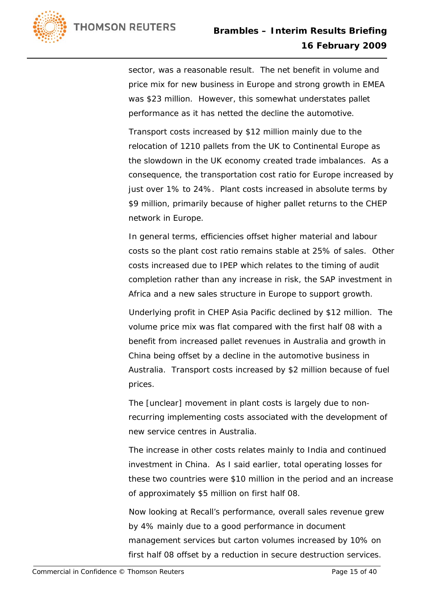

sector, was a reasonable result. The net benefit in volume and price mix for new business in Europe and strong growth in EMEA was \$23 million. However, this somewhat understates pallet performance as it has netted the decline the automotive.

Transport costs increased by \$12 million mainly due to the relocation of 1210 pallets from the UK to Continental Europe as the slowdown in the UK economy created trade imbalances. As a consequence, the transportation cost ratio for Europe increased by just over 1% to 24%. Plant costs increased in absolute terms by \$9 million, primarily because of higher pallet returns to the CHEP network in Europe.

In general terms, efficiencies offset higher material and labour costs so the plant cost ratio remains stable at 25% of sales. Other costs increased due to IPEP which relates to the timing of audit completion rather than any increase in risk, the SAP investment in Africa and a new sales structure in Europe to support growth.

Underlying profit in CHEP Asia Pacific declined by \$12 million. The volume price mix was flat compared with the first half 08 with a benefit from increased pallet revenues in Australia and growth in China being offset by a decline in the automotive business in Australia. Transport costs increased by \$2 million because of fuel prices.

The [unclear] movement in plant costs is largely due to nonrecurring implementing costs associated with the development of new service centres in Australia.

The increase in other costs relates mainly to India and continued investment in China. As I said earlier, total operating losses for these two countries were \$10 million in the period and an increase of approximately \$5 million on first half 08.

Now looking at Recall's performance, overall sales revenue grew by 4% mainly due to a good performance in document management services but carton volumes increased by 10% on first half 08 offset by a reduction in secure destruction services.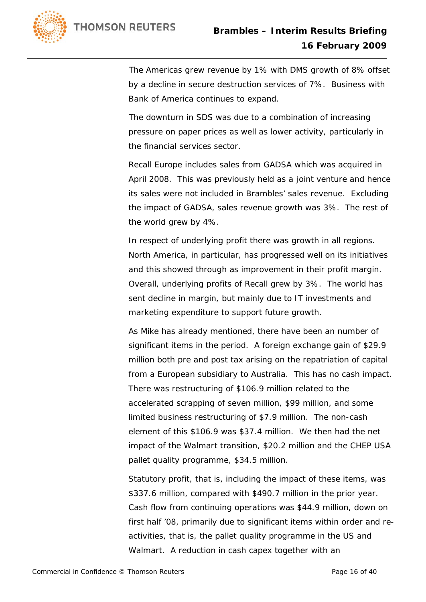

The Americas grew revenue by 1% with DMS growth of 8% offset by a decline in secure destruction services of 7%. Business with Bank of America continues to expand.

The downturn in SDS was due to a combination of increasing pressure on paper prices as well as lower activity, particularly in the financial services sector.

Recall Europe includes sales from GADSA which was acquired in April 2008. This was previously held as a joint venture and hence its sales were not included in Brambles' sales revenue. Excluding the impact of GADSA, sales revenue growth was 3%. The rest of the world grew by 4%.

In respect of underlying profit there was growth in all regions. North America, in particular, has progressed well on its initiatives and this showed through as improvement in their profit margin. Overall, underlying profits of Recall grew by 3%. The world has sent decline in margin, but mainly due to IT investments and marketing expenditure to support future growth.

As Mike has already mentioned, there have been an number of significant items in the period. A foreign exchange gain of \$29.9 million both pre and post tax arising on the repatriation of capital from a European subsidiary to Australia. This has no cash impact. There was restructuring of \$106.9 million related to the accelerated scrapping of seven million, \$99 million, and some limited business restructuring of \$7.9 million. The non-cash element of this \$106.9 was \$37.4 million. We then had the net impact of the Walmart transition, \$20.2 million and the CHEP USA pallet quality programme, \$34.5 million.

Statutory profit, that is, including the impact of these items, was \$337.6 million, compared with \$490.7 million in the prior year. Cash flow from continuing operations was \$44.9 million, down on first half '08, primarily due to significant items within order and reactivities, that is, the pallet quality programme in the US and Walmart. A reduction in cash capex together with an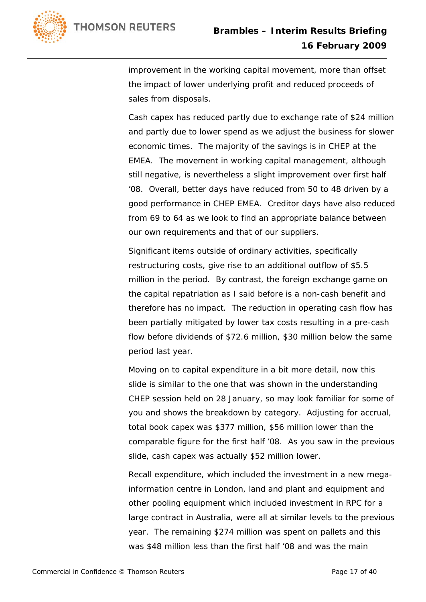

improvement in the working capital movement, more than offset the impact of lower underlying profit and reduced proceeds of sales from disposals.

Cash capex has reduced partly due to exchange rate of \$24 million and partly due to lower spend as we adjust the business for slower economic times. The majority of the savings is in CHEP at the EMEA. The movement in working capital management, although still negative, is nevertheless a slight improvement over first half '08. Overall, better days have reduced from 50 to 48 driven by a good performance in CHEP EMEA. Creditor days have also reduced from 69 to 64 as we look to find an appropriate balance between our own requirements and that of our suppliers.

Significant items outside of ordinary activities, specifically restructuring costs, give rise to an additional outflow of \$5.5 million in the period. By contrast, the foreign exchange game on the capital repatriation as I said before is a non-cash benefit and therefore has no impact. The reduction in operating cash flow has been partially mitigated by lower tax costs resulting in a pre-cash flow before dividends of \$72.6 million, \$30 million below the same period last year.

Moving on to capital expenditure in a bit more detail, now this slide is similar to the one that was shown in the understanding CHEP session held on 28 January, so may look familiar for some of you and shows the breakdown by category. Adjusting for accrual, total book capex was \$377 million, \$56 million lower than the comparable figure for the first half '08. As you saw in the previous slide, cash capex was actually \$52 million lower.

Recall expenditure, which included the investment in a new megainformation centre in London, land and plant and equipment and other pooling equipment which included investment in RPC for a large contract in Australia, were all at similar levels to the previous year. The remaining \$274 million was spent on pallets and this was \$48 million less than the first half '08 and was the main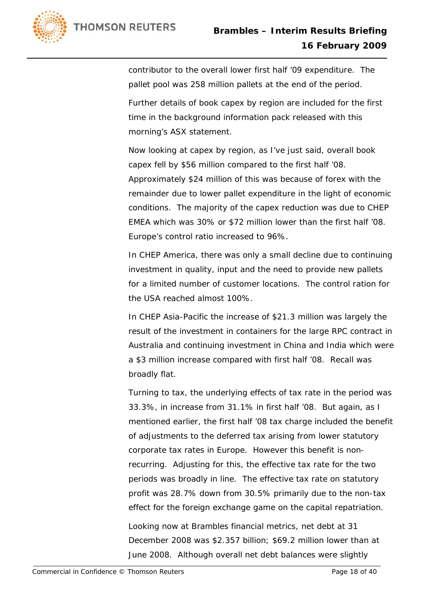

contributor to the overall lower first half '09 expenditure. The pallet pool was 258 million pallets at the end of the period.

Further details of book capex by region are included for the first time in the background information pack released with this morning's ASX statement.

Now looking at capex by region, as I've just said, overall book capex fell by \$56 million compared to the first half '08. Approximately \$24 million of this was because of forex with the remainder due to lower pallet expenditure in the light of economic conditions. The majority of the capex reduction was due to CHEP EMEA which was 30% or \$72 million lower than the first half '08. Europe's control ratio increased to 96%.

In CHEP America, there was only a small decline due to continuing investment in quality, input and the need to provide new pallets for a limited number of customer locations. The control ration for the USA reached almost 100%.

In CHEP Asia-Pacific the increase of \$21.3 million was largely the result of the investment in containers for the large RPC contract in Australia and continuing investment in China and India which were a \$3 million increase compared with first half '08. Recall was broadly flat.

Turning to tax, the underlying effects of tax rate in the period was 33.3%, in increase from 31.1% in first half '08. But again, as I mentioned earlier, the first half '08 tax charge included the benefit of adjustments to the deferred tax arising from lower statutory corporate tax rates in Europe. However this benefit is nonrecurring. Adjusting for this, the effective tax rate for the two periods was broadly in line. The effective tax rate on statutory profit was 28.7% down from 30.5% primarily due to the non-tax effect for the foreign exchange game on the capital repatriation.

Looking now at Brambles financial metrics, net debt at 31 December 2008 was \$2.357 billion; \$69.2 million lower than at June 2008. Although overall net debt balances were slightly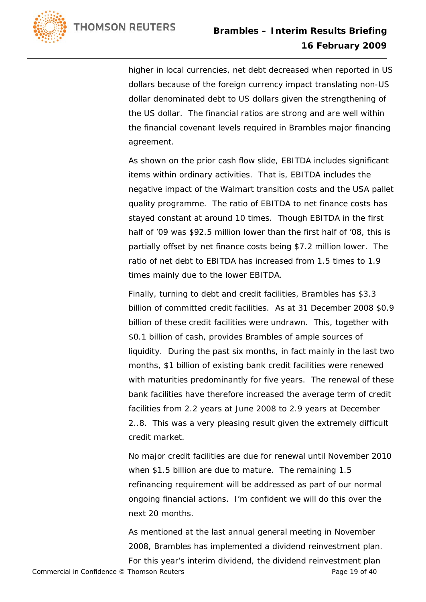

higher in local currencies, net debt decreased when reported in US dollars because of the foreign currency impact translating non-US dollar denominated debt to US dollars given the strengthening of the US dollar. The financial ratios are strong and are well within the financial covenant levels required in Brambles major financing agreement.

As shown on the prior cash flow slide, EBITDA includes significant items within ordinary activities. That is, EBITDA includes the negative impact of the Walmart transition costs and the USA pallet quality programme. The ratio of EBITDA to net finance costs has stayed constant at around 10 times. Though EBITDA in the first half of '09 was \$92.5 million lower than the first half of '08, this is partially offset by net finance costs being \$7.2 million lower. The ratio of net debt to EBITDA has increased from 1.5 times to 1.9 times mainly due to the lower EBITDA.

Finally, turning to debt and credit facilities, Brambles has \$3.3 billion of committed credit facilities. As at 31 December 2008 \$0.9 billion of these credit facilities were undrawn. This, together with \$0.1 billion of cash, provides Brambles of ample sources of liquidity. During the past six months, in fact mainly in the last two months, \$1 billion of existing bank credit facilities were renewed with maturities predominantly for five years. The renewal of these bank facilities have therefore increased the average term of credit facilities from 2.2 years at June 2008 to 2.9 years at December 2..8. This was a very pleasing result given the extremely difficult credit market.

No major credit facilities are due for renewal until November 2010 when \$1.5 billion are due to mature. The remaining 1.5 refinancing requirement will be addressed as part of our normal ongoing financial actions. I'm confident we will do this over the next 20 months.

As mentioned at the last annual general meeting in November 2008, Brambles has implemented a dividend reinvestment plan. For this year's interim dividend, the dividend reinvestment plan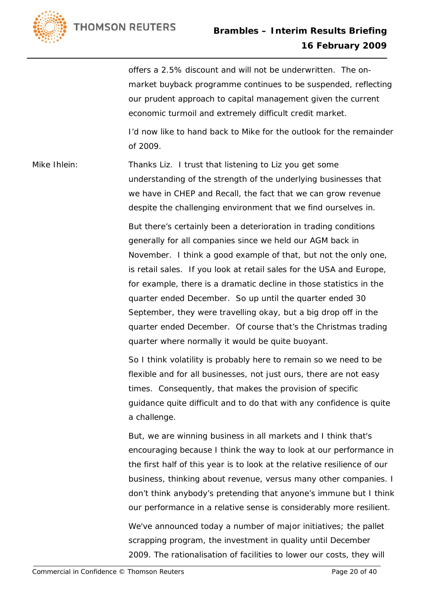

offers a 2.5% discount and will not be underwritten. The onmarket buyback programme continues to be suspended, reflecting our prudent approach to capital management given the current economic turmoil and extremely difficult credit market.

I'd now like to hand back to Mike for the outlook for the remainder of 2009.

Mike Ihlein: Thanks Liz. I trust that listening to Liz you get some understanding of the strength of the underlying businesses that we have in CHEP and Recall, the fact that we can grow revenue despite the challenging environment that we find ourselves in.

> But there's certainly been a deterioration in trading conditions generally for all companies since we held our AGM back in November. I think a good example of that, but not the only one, is retail sales. If you look at retail sales for the USA and Europe, for example, there is a dramatic decline in those statistics in the quarter ended December. So up until the quarter ended 30 September, they were travelling okay, but a big drop off in the quarter ended December. Of course that's the Christmas trading quarter where normally it would be quite buoyant.

> So I think volatility is probably here to remain so we need to be flexible and for all businesses, not just ours, there are not easy times. Consequently, that makes the provision of specific guidance quite difficult and to do that with any confidence is quite a challenge.

But, we are winning business in all markets and I think that's encouraging because I think the way to look at our performance in the first half of this year is to look at the relative resilience of our business, thinking about revenue, versus many other companies. I don't think anybody's pretending that anyone's immune but I think our performance in a relative sense is considerably more resilient.

We've announced today a number of major initiatives; the pallet scrapping program, the investment in quality until December 2009. The rationalisation of facilities to lower our costs, they will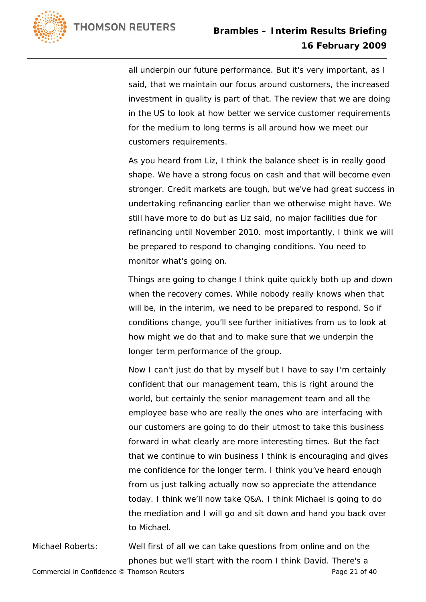

all underpin our future performance. But it's very important, as I said, that we maintain our focus around customers, the increased investment in quality is part of that. The review that we are doing in the US to look at how better we service customer requirements for the medium to long terms is all around how we meet our customers requirements.

As you heard from Liz, I think the balance sheet is in really good shape. We have a strong focus on cash and that will become even stronger. Credit markets are tough, but we've had great success in undertaking refinancing earlier than we otherwise might have. We still have more to do but as Liz said, no major facilities due for refinancing until November 2010. most importantly, I think we will be prepared to respond to changing conditions. You need to monitor what's going on.

Things are going to change I think quite quickly both up and down when the recovery comes. While nobody really knows when that will be, in the interim, we need to be prepared to respond. So if conditions change, you'll see further initiatives from us to look at how might we do that and to make sure that we underpin the longer term performance of the group.

Now I can't just do that by myself but I have to say I'm certainly confident that our management team, this is right around the world, but certainly the senior management team and all the employee base who are really the ones who are interfacing with our customers are going to do their utmost to take this business forward in what clearly are more interesting times. But the fact that we continue to win business I think is encouraging and gives me confidence for the longer term. I think you've heard enough from us just talking actually now so appreciate the attendance today. I think we'll now take Q&A. I think Michael is going to do the mediation and I will go and sit down and hand you back over to Michael.

Michael Roberts: Well first of all we can take questions from online and on the phones but we'll start with the room I think David. There's a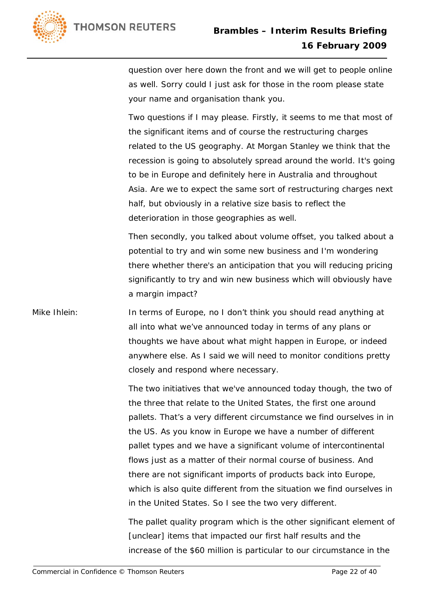

question over here down the front and we will get to people online as well. Sorry could I just ask for those in the room please state your name and organisation thank you.

Two questions if I may please. Firstly, it seems to me that most of the significant items and of course the restructuring charges related to the US geography. At Morgan Stanley we think that the recession is going to absolutely spread around the world. It's going to be in Europe and definitely here in Australia and throughout Asia. Are we to expect the same sort of restructuring charges next half, but obviously in a relative size basis to reflect the deterioration in those geographies as well.

Then secondly, you talked about volume offset, you talked about a potential to try and win some new business and I'm wondering there whether there's an anticipation that you will reducing pricing significantly to try and win new business which will obviously have a margin impact?

## Mike Ihlein: In terms of Europe, no I don't think you should read anything at all into what we've announced today in terms of any plans or thoughts we have about what might happen in Europe, or indeed anywhere else. As I said we will need to monitor conditions pretty closely and respond where necessary.

The two initiatives that we've announced today though, the two of the three that relate to the United States, the first one around pallets. That's a very different circumstance we find ourselves in in the US. As you know in Europe we have a number of different pallet types and we have a significant volume of intercontinental flows just as a matter of their normal course of business. And there are not significant imports of products back into Europe, which is also quite different from the situation we find ourselves in in the United States. So I see the two very different.

The pallet quality program which is the other significant element of [unclear] items that impacted our first half results and the increase of the \$60 million is particular to our circumstance in the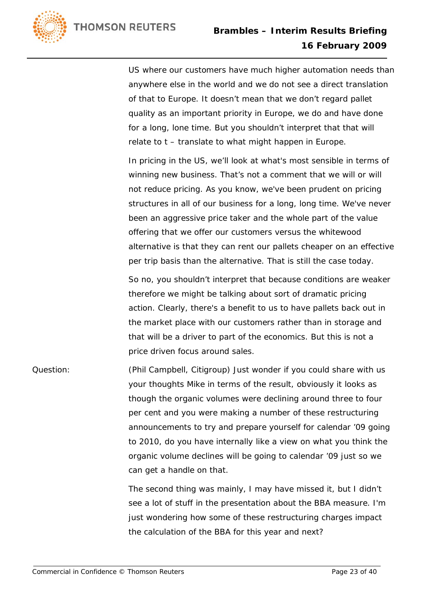

US where our customers have much higher automation needs than anywhere else in the world and we do not see a direct translation of that to Europe. It doesn't mean that we don't regard pallet quality as an important priority in Europe, we do and have done for a long, lone time. But you shouldn't interpret that that will relate to t – translate to what might happen in Europe.

In pricing in the US, we'll look at what's most sensible in terms of winning new business. That's not a comment that we will or will not reduce pricing. As you know, we've been prudent on pricing structures in all of our business for a long, long time. We've never been an aggressive price taker and the whole part of the value offering that we offer our customers versus the whitewood alternative is that they can rent our pallets cheaper on an effective per trip basis than the alternative. That is still the case today.

So no, you shouldn't interpret that because conditions are weaker therefore we might be talking about sort of dramatic pricing action. Clearly, there's a benefit to us to have pallets back out in the market place with our customers rather than in storage and that will be a driver to part of the economics. But this is not a price driven focus around sales.

## Question: (Phil Campbell, Citigroup) Just wonder if you could share with us your thoughts Mike in terms of the result, obviously it looks as though the organic volumes were declining around three to four per cent and you were making a number of these restructuring announcements to try and prepare yourself for calendar '09 going to 2010, do you have internally like a view on what you think the organic volume declines will be going to calendar '09 just so we can get a handle on that.

The second thing was mainly, I may have missed it, but I didn't see a lot of stuff in the presentation about the BBA measure. I'm just wondering how some of these restructuring charges impact the calculation of the BBA for this year and next?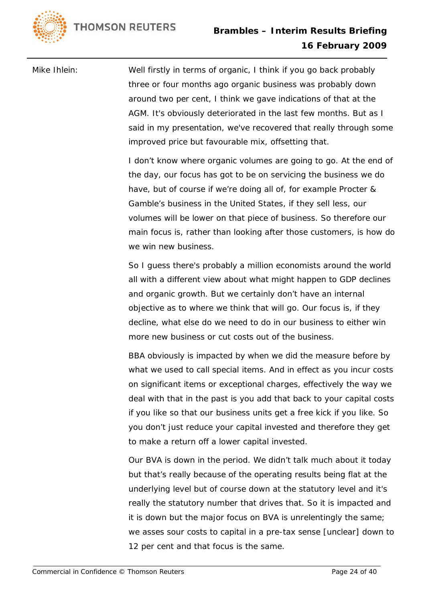

Mike Ihlein: Well firstly in terms of organic, I think if you go back probably three or four months ago organic business was probably down around two per cent, I think we gave indications of that at the AGM. It's obviously deteriorated in the last few months. But as I said in my presentation, we've recovered that really through some improved price but favourable mix, offsetting that.

> I don't know where organic volumes are going to go. At the end of the day, our focus has got to be on servicing the business we do have, but of course if we're doing all of, for example Procter & Gamble's business in the United States, if they sell less, our volumes will be lower on that piece of business. So therefore our main focus is, rather than looking after those customers, is how do we win new business.

So I guess there's probably a million economists around the world all with a different view about what might happen to GDP declines and organic growth. But we certainly don't have an internal objective as to where we think that will go. Our focus is, if they decline, what else do we need to do in our business to either win more new business or cut costs out of the business.

BBA obviously is impacted by when we did the measure before by what we used to call special items. And in effect as you incur costs on significant items or exceptional charges, effectively the way we deal with that in the past is you add that back to your capital costs if you like so that our business units get a free kick if you like. So you don't just reduce your capital invested and therefore they get to make a return off a lower capital invested.

Our BVA is down in the period. We didn't talk much about it today but that's really because of the operating results being flat at the underlying level but of course down at the statutory level and it's really the statutory number that drives that. So it is impacted and it is down but the major focus on BVA is unrelentingly the same; we asses sour costs to capital in a pre-tax sense [unclear] down to 12 per cent and that focus is the same.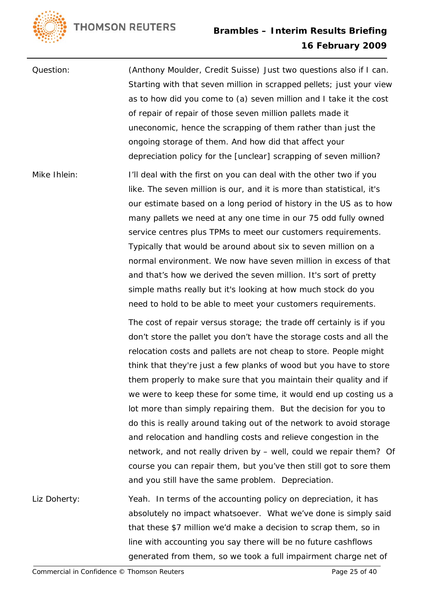

Question: (Anthony Moulder, Credit Suisse) Just two questions also if I can. Starting with that seven million in scrapped pellets; just your view as to how did you come to (a) seven million and I take it the cost of repair of repair of those seven million pallets made it uneconomic, hence the scrapping of them rather than just the ongoing storage of them. And how did that affect your depreciation policy for the [unclear] scrapping of seven million? Mike Ihlein: I'll deal with the first on you can deal with the other two if you like. The seven million is our, and it is more than statistical, it's our estimate based on a long period of history in the US as to how many pallets we need at any one time in our 75 odd fully owned service centres plus TPMs to meet our customers requirements. Typically that would be around about six to seven million on a normal environment. We now have seven million in excess of that and that's how we derived the seven million. It's sort of pretty simple maths really but it's looking at how much stock do you need to hold to be able to meet your customers requirements. The cost of repair versus storage; the trade off certainly is if you don't store the pallet you don't have the storage costs and all the relocation costs and pallets are not cheap to store. People might think that they're just a few planks of wood but you have to store them properly to make sure that you maintain their quality and if we were to keep these for some time, it would end up costing us a lot more than simply repairing them. But the decision for you to

do this is really around taking out of the network to avoid storage and relocation and handling costs and relieve congestion in the network, and not really driven by – well, could we repair them? Of course you can repair them, but you've then still got to sore them and you still have the same problem. Depreciation.

Liz Doherty: Yeah. In terms of the accounting policy on depreciation, it has absolutely no impact whatsoever. What we've done is simply said that these \$7 million we'd make a decision to scrap them, so in line with accounting you say there will be no future cashflows generated from them, so we took a full impairment charge net of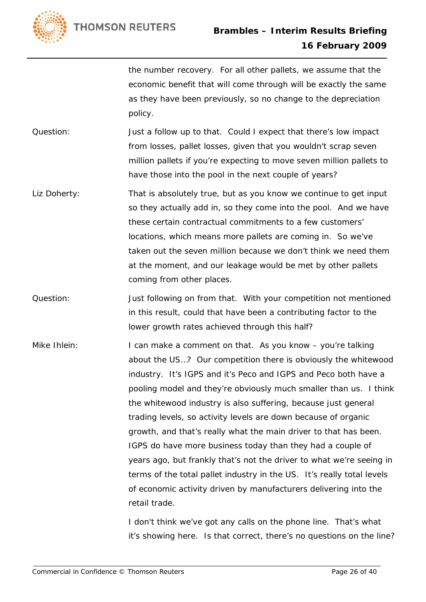

the number recovery. For all other pallets, we assume that the economic benefit that will come through will be exactly the same as they have been previously, so no change to the depreciation policy.

Question: Just a follow up to that. Could I expect that there's low impact from losses, pallet losses, given that you wouldn't scrap seven million pallets if you're expecting to move seven million pallets to have those into the pool in the next couple of years?

- Liz Doherty: That is absolutely true, but as you know we continue to get input so they actually add in, so they come into the pool. And we have these certain contractual commitments to a few customers' locations, which means more pallets are coming in. So we've taken out the seven million because we don't think we need them at the moment, and our leakage would be met by other pallets coming from other places.
- Question: Just following on from that. With your competition not mentioned in this result, could that have been a contributing factor to the lower growth rates achieved through this half?
- Mike Ihlein: I can make a comment on that. As you know you're talking about the US…? Our competition there is obviously the whitewood industry. It's IGPS and it's Peco and IGPS and Peco both have a pooling model and they're obviously much smaller than us. I think the whitewood industry is also suffering, because just general trading levels, so activity levels are down because of organic growth, and that's really what the main driver to that has been. IGPS do have more business today than they had a couple of years ago, but frankly that's not the driver to what we're seeing in terms of the total pallet industry in the US. It's really total levels of economic activity driven by manufacturers delivering into the retail trade.

I don't think we've got any calls on the phone line. That's what it's showing here. Is that correct, there's no questions on the line?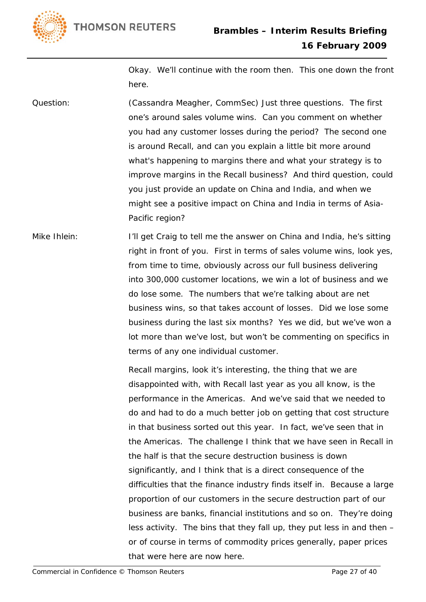**THOMSON REUTERS** 



Okay. We'll continue with the room then. This one down the front here.

Question: (Cassandra Meagher, CommSec) Just three questions. The first one's around sales volume wins. Can you comment on whether you had any customer losses during the period? The second one is around Recall, and can you explain a little bit more around what's happening to margins there and what your strategy is to improve margins in the Recall business? And third question, could you just provide an update on China and India, and when we might see a positive impact on China and India in terms of Asia-Pacific region?

Mike Ihlein: I'll get Craig to tell me the answer on China and India, he's sitting right in front of you. First in terms of sales volume wins, look yes, from time to time, obviously across our full business delivering into 300,000 customer locations, we win a lot of business and we do lose some. The numbers that we're talking about are net business wins, so that takes account of losses. Did we lose some business during the last six months? Yes we did, but we've won a lot more than we've lost, but won't be commenting on specifics in terms of any one individual customer.

> Recall margins, look it's interesting, the thing that we are disappointed with, with Recall last year as you all know, is the performance in the Americas. And we've said that we needed to do and had to do a much better job on getting that cost structure in that business sorted out this year. In fact, we've seen that in the Americas. The challenge I think that we have seen in Recall in the half is that the secure destruction business is down significantly, and I think that is a direct consequence of the difficulties that the finance industry finds itself in. Because a large proportion of our customers in the secure destruction part of our business are banks, financial institutions and so on. They're doing less activity. The bins that they fall up, they put less in and then – or of course in terms of commodity prices generally, paper prices that were here are now here.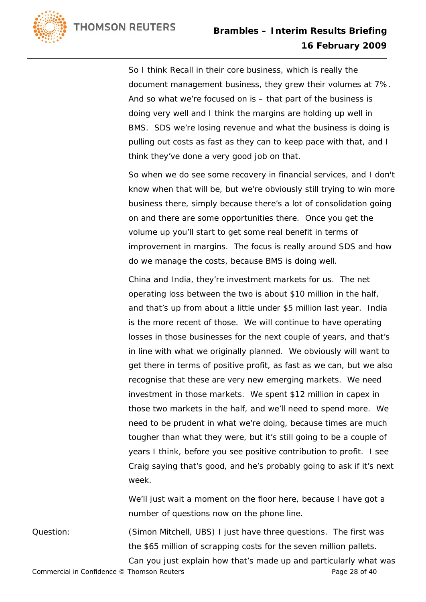

So I think Recall in their core business, which is really the document management business, they grew their volumes at 7%. And so what we're focused on is – that part of the business is doing very well and I think the margins are holding up well in BMS. SDS we're losing revenue and what the business is doing is pulling out costs as fast as they can to keep pace with that, and I think they've done a very good job on that.

So when we do see some recovery in financial services, and I don't know when that will be, but we're obviously still trying to win more business there, simply because there's a lot of consolidation going on and there are some opportunities there. Once you get the volume up you'll start to get some real benefit in terms of improvement in margins. The focus is really around SDS and how do we manage the costs, because BMS is doing well.

China and India, they're investment markets for us. The net operating loss between the two is about \$10 million in the half, and that's up from about a little under \$5 million last year. India is the more recent of those. We will continue to have operating losses in those businesses for the next couple of years, and that's in line with what we originally planned. We obviously will want to get there in terms of positive profit, as fast as we can, but we also recognise that these are very new emerging markets. We need investment in those markets. We spent \$12 million in capex in those two markets in the half, and we'll need to spend more. We need to be prudent in what we're doing, because times are much tougher than what they were, but it's still going to be a couple of years I think, before you see positive contribution to profit. I see Craig saying that's good, and he's probably going to ask if it's next week.

We'll just wait a moment on the floor here, because I have got a number of questions now on the phone line.

Question: (Simon Mitchell, UBS) I just have three questions. The first was the \$65 million of scrapping costs for the seven million pallets. Can you just explain how that's made up and particularly what was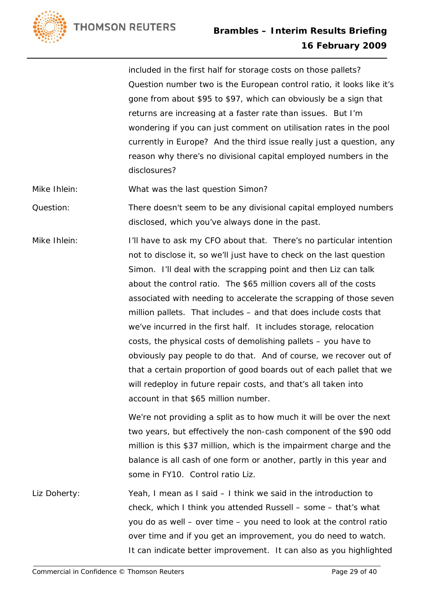

included in the first half for storage costs on those pallets? Question number two is the European control ratio, it looks like it's gone from about \$95 to \$97, which can obviously be a sign that returns are increasing at a faster rate than issues. But I'm wondering if you can just comment on utilisation rates in the pool currently in Europe? And the third issue really just a question, any reason why there's no divisional capital employed numbers in the disclosures?

Mike Ihlein: What was the last question Simon?

Question: There doesn't seem to be any divisional capital employed numbers disclosed, which you've always done in the past.

Mike Ihlein: I'll have to ask my CFO about that. There's no particular intention not to disclose it, so we'll just have to check on the last question Simon. I'll deal with the scrapping point and then Liz can talk about the control ratio. The \$65 million covers all of the costs associated with needing to accelerate the scrapping of those seven million pallets. That includes – and that does include costs that we've incurred in the first half. It includes storage, relocation costs, the physical costs of demolishing pallets – you have to obviously pay people to do that. And of course, we recover out of that a certain proportion of good boards out of each pallet that we will redeploy in future repair costs, and that's all taken into account in that \$65 million number.

> We're not providing a split as to how much it will be over the next two years, but effectively the non-cash component of the \$90 odd million is this \$37 million, which is the impairment charge and the balance is all cash of one form or another, partly in this year and some in FY10. Control ratio Liz.

Liz Doherty: Yeah, I mean as I said – I think we said in the introduction to check, which I think you attended Russell – some – that's what you do as well – over time – you need to look at the control ratio over time and if you get an improvement, you do need to watch. It can indicate better improvement. It can also as you highlighted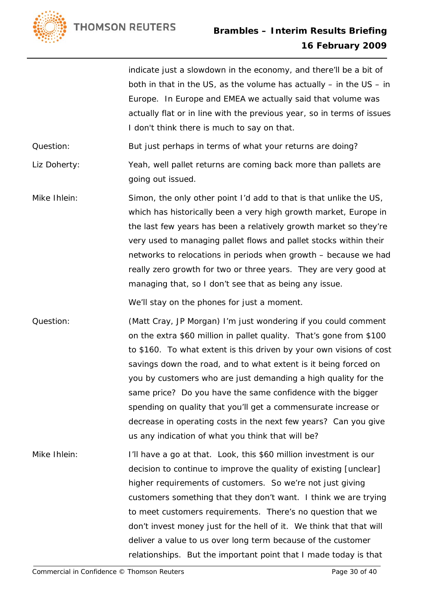**THOMSON REUTERS** 



indicate just a slowdown in the economy, and there'll be a bit of both in that in the US, as the volume has actually – in the US – in Europe. In Europe and EMEA we actually said that volume was actually flat or in line with the previous year, so in terms of issues I don't think there is much to say on that.

Question: But just perhaps in terms of what your returns are doing?

Liz Doherty: Yeah, well pallet returns are coming back more than pallets are going out issued.

Mike Ihlein: Simon, the only other point I'd add to that is that unlike the US, which has historically been a very high growth market, Europe in the last few years has been a relatively growth market so they're very used to managing pallet flows and pallet stocks within their networks to relocations in periods when growth – because we had really zero growth for two or three years. They are very good at managing that, so I don't see that as being any issue.

We'll stay on the phones for just a moment.

Question: (Matt Cray, JP Morgan) I'm just wondering if you could comment on the extra \$60 million in pallet quality. That's gone from \$100 to \$160. To what extent is this driven by your own visions of cost savings down the road, and to what extent is it being forced on you by customers who are just demanding a high quality for the same price? Do you have the same confidence with the bigger spending on quality that you'll get a commensurate increase or decrease in operating costs in the next few years? Can you give us any indication of what you think that will be?

Mike Ihlein: I'll have a go at that. Look, this \$60 million investment is our decision to continue to improve the quality of existing [unclear] higher requirements of customers. So we're not just giving customers something that they don't want. I think we are trying to meet customers requirements. There's no question that we don't invest money just for the hell of it. We think that that will deliver a value to us over long term because of the customer relationships. But the important point that I made today is that

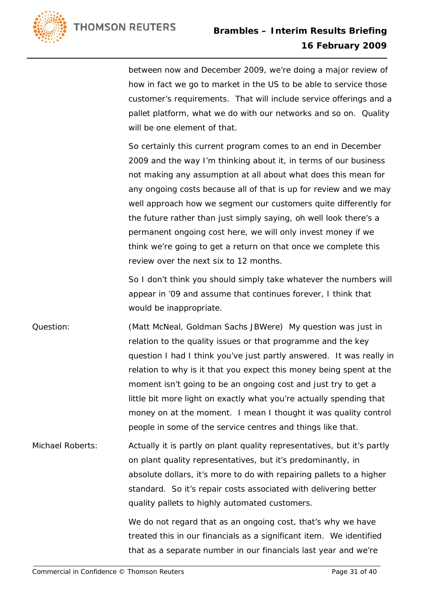

between now and December 2009, we're doing a major review of how in fact we go to market in the US to be able to service those customer's requirements. That will include service offerings and a pallet platform, what we do with our networks and so on. Quality will be one element of that.

So certainly this current program comes to an end in December 2009 and the way I'm thinking about it, in terms of our business not making any assumption at all about what does this mean for any ongoing costs because all of that is up for review and we may well approach how we segment our customers quite differently for the future rather than just simply saying, oh well look there's a permanent ongoing cost here, we will only invest money if we think we're going to get a return on that once we complete this review over the next six to 12 months.

So I don't think you should simply take whatever the numbers will appear in '09 and assume that continues forever, I think that would be inappropriate.

Question: (Matt McNeal, Goldman Sachs JBWere) My question was just in relation to the quality issues or that programme and the key question I had I think you've just partly answered. It was really in relation to why is it that you expect this money being spent at the moment isn't going to be an ongoing cost and just try to get a little bit more light on exactly what you're actually spending that money on at the moment. I mean I thought it was quality control people in some of the service centres and things like that.

Michael Roberts: Actually it is partly on plant quality representatives, but it's partly on plant quality representatives, but it's predominantly, in absolute dollars, it's more to do with repairing pallets to a higher standard. So it's repair costs associated with delivering better quality pallets to highly automated customers.

> We do not regard that as an ongoing cost, that's why we have treated this in our financials as a significant item. We identified that as a separate number in our financials last year and we're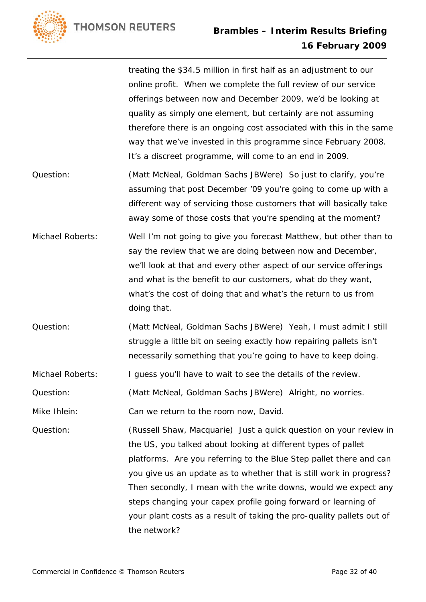**THOMSON REUTERS** 



treating the \$34.5 million in first half as an adjustment to our online profit. When we complete the full review of our service offerings between now and December 2009, we'd be looking at quality as simply one element, but certainly are not assuming therefore there is an ongoing cost associated with this in the same way that we've invested in this programme since February 2008. It's a discreet programme, will come to an end in 2009.

- Question: (Matt McNeal, Goldman Sachs JBWere) So just to clarify, you're assuming that post December '09 you're going to come up with a different way of servicing those customers that will basically take away some of those costs that you're spending at the moment?
- Michael Roberts: Well I'm not going to give you forecast Matthew, but other than to say the review that we are doing between now and December, we'll look at that and every other aspect of our service offerings and what is the benefit to our customers, what do they want, what's the cost of doing that and what's the return to us from doing that.
- Question: (Matt McNeal, Goldman Sachs JBWere) Yeah, I must admit I still struggle a little bit on seeing exactly how repairing pallets isn't necessarily something that you're going to have to keep doing.

Michael Roberts: I guess you'll have to wait to see the details of the review.

Question: (Matt McNeal, Goldman Sachs JBWere) Alright, no worries.

Mike Ihlein: Can we return to the room now, David.

Question: (Russell Shaw, Macquarie) Just a quick question on your review in the US, you talked about looking at different types of pallet platforms. Are you referring to the Blue Step pallet there and can you give us an update as to whether that is still work in progress? Then secondly, I mean with the write downs, would we expect any steps changing your capex profile going forward or learning of your plant costs as a result of taking the pro-quality pallets out of the network?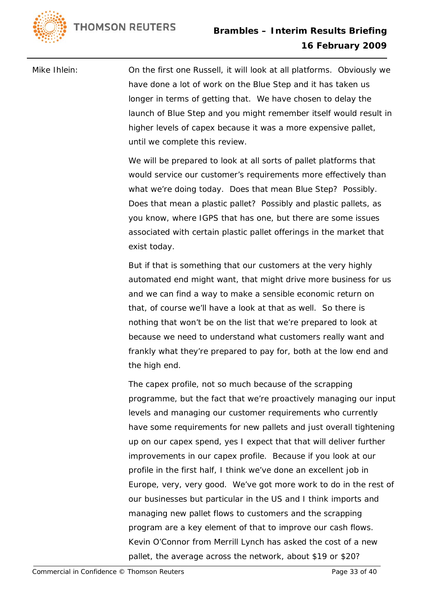

Mike Ihlein: On the first one Russell, it will look at all platforms. Obviously we have done a lot of work on the Blue Step and it has taken us longer in terms of getting that. We have chosen to delay the launch of Blue Step and you might remember itself would result in higher levels of capex because it was a more expensive pallet, until we complete this review.

> We will be prepared to look at all sorts of pallet platforms that would service our customer's requirements more effectively than what we're doing today. Does that mean Blue Step? Possibly. Does that mean a plastic pallet? Possibly and plastic pallets, as you know, where IGPS that has one, but there are some issues associated with certain plastic pallet offerings in the market that exist today.

But if that is something that our customers at the very highly automated end might want, that might drive more business for us and we can find a way to make a sensible economic return on that, of course we'll have a look at that as well. So there is nothing that won't be on the list that we're prepared to look at because we need to understand what customers really want and frankly what they're prepared to pay for, both at the low end and the high end.

The capex profile, not so much because of the scrapping programme, but the fact that we're proactively managing our input levels and managing our customer requirements who currently have some requirements for new pallets and just overall tightening up on our capex spend, yes I expect that that will deliver further improvements in our capex profile. Because if you look at our profile in the first half, I think we've done an excellent job in Europe, very, very good. We've got more work to do in the rest of our businesses but particular in the US and I think imports and managing new pallet flows to customers and the scrapping program are a key element of that to improve our cash flows. Kevin O'Connor from Merrill Lynch has asked the cost of a new pallet, the average across the network, about \$19 or \$20?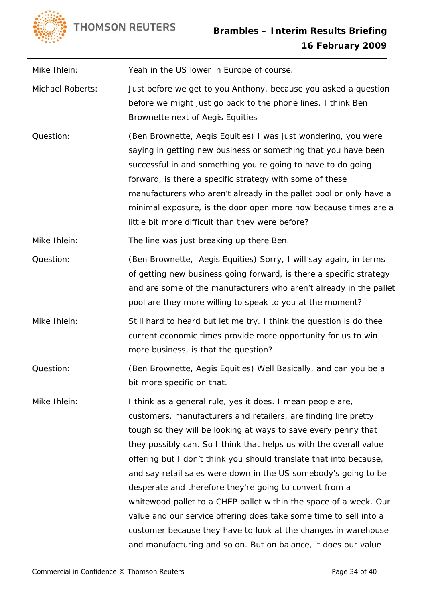

Mike Ihlein: Yeah in the US lower in Europe of course.

- Michael Roberts: Just before we get to you Anthony, because you asked a question before we might just go back to the phone lines. I think Ben Brownette next of Aegis Equities
- Question: (Ben Brownette, Aegis Equities) I was just wondering, you were saying in getting new business or something that you have been successful in and something you're going to have to do going forward, is there a specific strategy with some of these manufacturers who aren't already in the pallet pool or only have a minimal exposure, is the door open more now because times are a little bit more difficult than they were before?

Mike Ihlein: The line was just breaking up there Ben.

- Question: (Ben Brownette, Aegis Equities) Sorry, I will say again, in terms of getting new business going forward, is there a specific strategy and are some of the manufacturers who aren't already in the pallet pool are they more willing to speak to you at the moment?
- Mike Ihlein: Still hard to heard but let me try. I think the question is do thee current economic times provide more opportunity for us to win more business, is that the question?
- Question: (Ben Brownette, Aegis Equities) Well Basically, and can you be a bit more specific on that.
- Mike Ihlein: I think as a general rule, yes it does. I mean people are, customers, manufacturers and retailers, are finding life pretty tough so they will be looking at ways to save every penny that they possibly can. So I think that helps us with the overall value offering but I don't think you should translate that into because, and say retail sales were down in the US somebody's going to be desperate and therefore they're going to convert from a whitewood pallet to a CHEP pallet within the space of a week. Our value and our service offering does take some time to sell into a customer because they have to look at the changes in warehouse and manufacturing and so on. But on balance, it does our value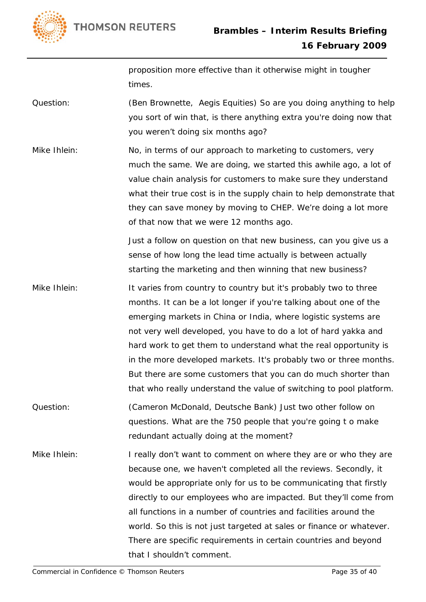

proposition more effective than it otherwise might in tougher times.

Question: (Ben Brownette, Aegis Equities) So are you doing anything to help you sort of win that, is there anything extra you're doing now that you weren't doing six months ago?

Mike Ihlein: No, in terms of our approach to marketing to customers, very much the same. We are doing, we started this awhile ago, a lot of value chain analysis for customers to make sure they understand what their true cost is in the supply chain to help demonstrate that they can save money by moving to CHEP. We're doing a lot more of that now that we were 12 months ago.

> Just a follow on question on that new business, can you give us a sense of how long the lead time actually is between actually starting the marketing and then winning that new business?

- Mike Ihlein: It varies from country to country but it's probably two to three months. It can be a lot longer if you're talking about one of the emerging markets in China or India, where logistic systems are not very well developed, you have to do a lot of hard yakka and hard work to get them to understand what the real opportunity is in the more developed markets. It's probably two or three months. But there are some customers that you can do much shorter than that who really understand the value of switching to pool platform.
- Question: (Cameron McDonald, Deutsche Bank) Just two other follow on questions. What are the 750 people that you're going t o make redundant actually doing at the moment?
- Mike Ihlein: I really don't want to comment on where they are or who they are because one, we haven't completed all the reviews. Secondly, it would be appropriate only for us to be communicating that firstly directly to our employees who are impacted. But they'll come from all functions in a number of countries and facilities around the world. So this is not just targeted at sales or finance or whatever. There are specific requirements in certain countries and beyond that I shouldn't comment.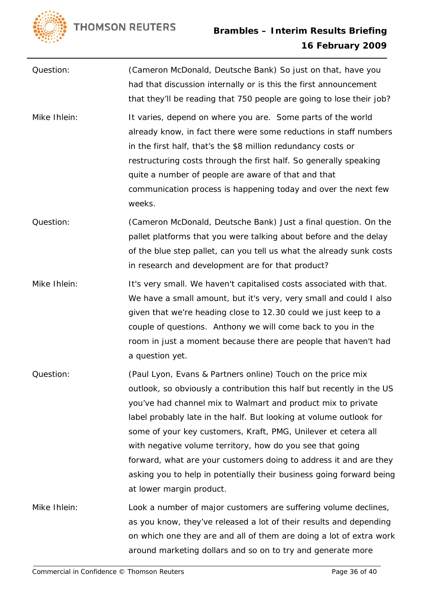

| Question:    | (Cameron McDonald, Deutsche Bank) So just on that, have you<br>had that discussion internally or is this the first announcement<br>that they'll be reading that 750 people are going to lose their job?                                                                                                                                                                                                                                                                                                                                                                            |
|--------------|------------------------------------------------------------------------------------------------------------------------------------------------------------------------------------------------------------------------------------------------------------------------------------------------------------------------------------------------------------------------------------------------------------------------------------------------------------------------------------------------------------------------------------------------------------------------------------|
| Mike Ihlein: | It varies, depend on where you are. Some parts of the world<br>already know, in fact there were some reductions in staff numbers<br>in the first half, that's the \$8 million redundancy costs or<br>restructuring costs through the first half. So generally speaking<br>quite a number of people are aware of that and that<br>communication process is happening today and over the next few<br>weeks.                                                                                                                                                                          |
| Question:    | (Cameron McDonald, Deutsche Bank) Just a final question. On the<br>pallet platforms that you were talking about before and the delay<br>of the blue step pallet, can you tell us what the already sunk costs<br>in research and development are for that product?                                                                                                                                                                                                                                                                                                                  |
| Mike Ihlein: | It's very small. We haven't capitalised costs associated with that.<br>We have a small amount, but it's very, very small and could I also<br>given that we're heading close to 12.30 could we just keep to a<br>couple of questions. Anthony we will come back to you in the<br>room in just a moment because there are people that haven't had<br>a question yet.                                                                                                                                                                                                                 |
| Question:    | (Paul Lyon, Evans & Partners online) Touch on the price mix<br>outlook, so obviously a contribution this half but recently in the US<br>you've had channel mix to Walmart and product mix to private<br>label probably late in the half. But looking at volume outlook for<br>some of your key customers, Kraft, PMG, Unilever et cetera all<br>with negative volume territory, how do you see that going<br>forward, what are your customers doing to address it and are they<br>asking you to help in potentially their business going forward being<br>at lower margin product. |
| Mike Ihlein: | Look a number of major customers are suffering volume declines,<br>as you know, they've released a lot of their results and depending<br>on which one they are and all of them are doing a lot of extra work<br>around marketing dollars and so on to try and generate more                                                                                                                                                                                                                                                                                                        |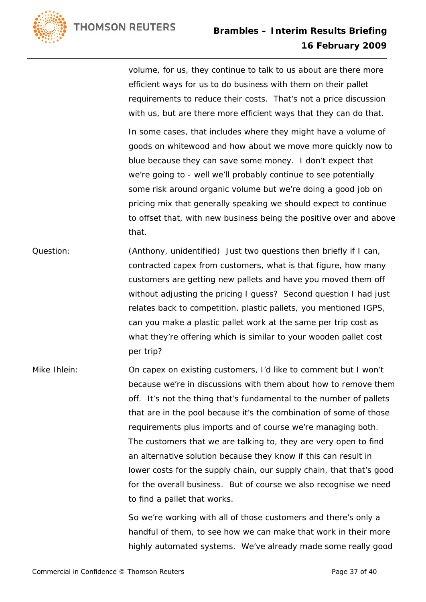

volume, for us, they continue to talk to us about are there more efficient ways for us to do business with them on their pallet requirements to reduce their costs. That's not a price discussion with us, but are there more efficient ways that they can do that.

In some cases, that includes where they might have a volume of goods on whitewood and how about we move more quickly now to blue because they can save some money. I don't expect that we're going to - well we'll probably continue to see potentially some risk around organic volume but we're doing a good job on pricing mix that generally speaking we should expect to continue to offset that, with new business being the positive over and above that.

- Question: (Anthony, unidentified) Just two questions then briefly if I can, contracted capex from customers, what is that figure, how many customers are getting new pallets and have you moved them off without adjusting the pricing I guess? Second question I had just relates back to competition, plastic pallets, you mentioned IGPS, can you make a plastic pallet work at the same per trip cost as what they're offering which is similar to your wooden pallet cost per trip?
- Mike Ihlein: On capex on existing customers, I'd like to comment but I won't because we're in discussions with them about how to remove them off. It's not the thing that's fundamental to the number of pallets that are in the pool because it's the combination of some of those requirements plus imports and of course we're managing both. The customers that we are talking to, they are very open to find an alternative solution because they know if this can result in lower costs for the supply chain, our supply chain, that that's good for the overall business. But of course we also recognise we need to find a pallet that works.

So we're working with all of those customers and there's only a handful of them, to see how we can make that work in their more highly automated systems. We've already made some really good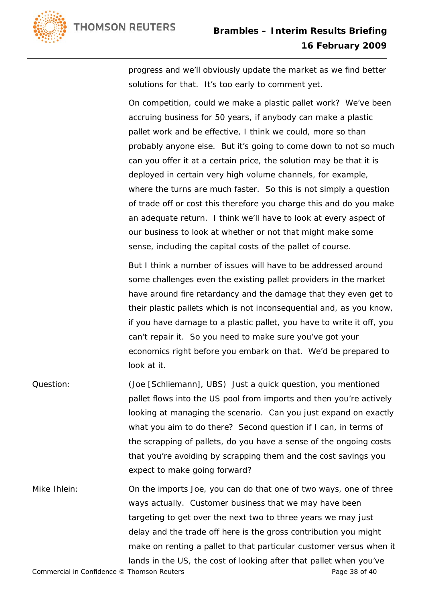

progress and we'll obviously update the market as we find better solutions for that. It's too early to comment yet.

On competition, could we make a plastic pallet work? We've been accruing business for 50 years, if anybody can make a plastic pallet work and be effective, I think we could, more so than probably anyone else. But it's going to come down to not so much can you offer it at a certain price, the solution may be that it is deployed in certain very high volume channels, for example, where the turns are much faster. So this is not simply a question of trade off or cost this therefore you charge this and do you make an adequate return. I think we'll have to look at every aspect of our business to look at whether or not that might make some sense, including the capital costs of the pallet of course.

But I think a number of issues will have to be addressed around some challenges even the existing pallet providers in the market have around fire retardancy and the damage that they even get to their plastic pallets which is not inconsequential and, as you know, if you have damage to a plastic pallet, you have to write it off, you can't repair it. So you need to make sure you've got your economics right before you embark on that. We'd be prepared to look at it.

- Question: (Joe [Schliemann], UBS) Just a quick question, you mentioned pallet flows into the US pool from imports and then you're actively looking at managing the scenario. Can you just expand on exactly what you aim to do there? Second question if I can, in terms of the scrapping of pallets, do you have a sense of the ongoing costs that you're avoiding by scrapping them and the cost savings you expect to make going forward?
- Mike Ihlein: On the imports Joe, you can do that one of two ways, one of three ways actually. Customer business that we may have been targeting to get over the next two to three years we may just delay and the trade off here is the gross contribution you might make on renting a pallet to that particular customer versus when it lands in the US, the cost of looking after that pallet when you've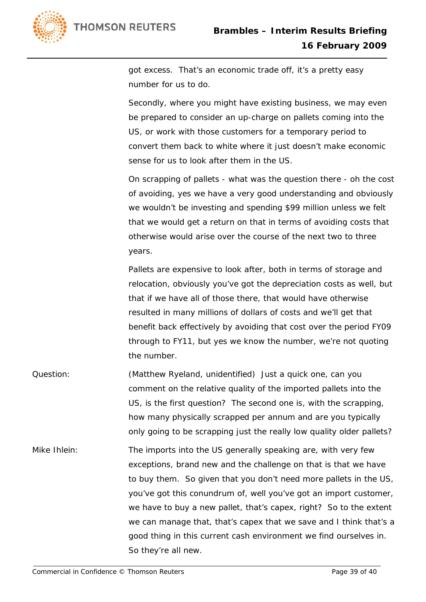

got excess. That's an economic trade off, it's a pretty easy number for us to do.

Secondly, where you might have existing business, we may even be prepared to consider an up-charge on pallets coming into the US, or work with those customers for a temporary period to convert them back to white where it just doesn't make economic sense for us to look after them in the US.

On scrapping of pallets - what was the question there - oh the cost of avoiding, yes we have a very good understanding and obviously we wouldn't be investing and spending \$99 million unless we felt that we would get a return on that in terms of avoiding costs that otherwise would arise over the course of the next two to three years.

Pallets are expensive to look after, both in terms of storage and relocation, obviously you've got the depreciation costs as well, but that if we have all of those there, that would have otherwise resulted in many millions of dollars of costs and we'll get that benefit back effectively by avoiding that cost over the period FY09 through to FY11, but yes we know the number, we're not quoting the number.

- Question: (Matthew Ryeland, unidentified) Just a quick one, can you comment on the relative quality of the imported pallets into the US, is the first question? The second one is, with the scrapping, how many physically scrapped per annum and are you typically only going to be scrapping just the really low quality older pallets?
- Mike Ihlein: The imports into the US generally speaking are, with very few exceptions, brand new and the challenge on that is that we have to buy them. So given that you don't need more pallets in the US, you've got this conundrum of, well you've got an import customer, we have to buy a new pallet, that's capex, right? So to the extent we can manage that, that's capex that we save and I think that's a good thing in this current cash environment we find ourselves in. So they're all new.